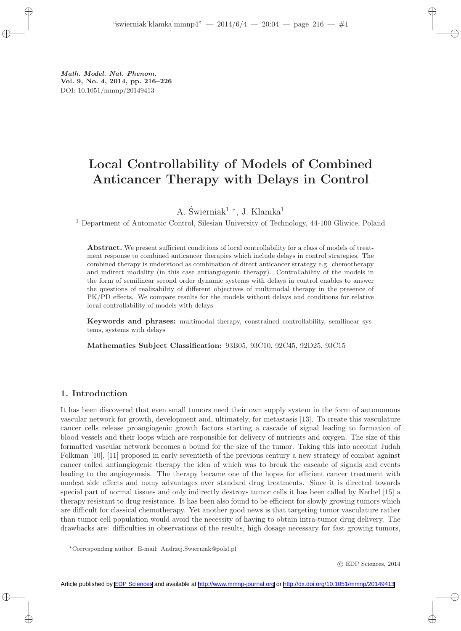Math. Model. Nat. Phenom. Vol. 9, No. 4, 2014, pp. 216–226 DOI: 10.1051/mmnp/20149413

# Local Controllability of Models of Combined Anticancer Therapy with Delays in Control

A. Świerniak<sup>1</sup> \*, J. Klamka<sup>1</sup>

<sup>1</sup> Department of Automatic Control, Silesian University of Technology, 44-100 Gliwice, Poland

Abstract. We present sufficient conditions of local controllability for a class of models of treatment response to combined anticancer therapies which include delays in control strategies. The combined therapy is understood as combination of direct anticancer strategy e.g. chemotherapy and indirect modality (in this case antiangiogenic therapy). Controllability of the models in the form of semilinear second order dynamic systems with delays in control enables to answer the questions of realizability of different objectives of multimodal therapy in the presence of PK/PD effects. We compare results for the models without delays and conditions for relative local controllability of models with delays.

Keywords and phrases: multimodal therapy, constrained controllability, semilinear systems, systems with delays

Mathematics Subject Classification: 93B05, 93C10, 92C45, 92D25, 93C15

#### 1. Introduction

It has been discovered that even small tumors need their own supply system in the form of autonomous vascular network for growth, development and, ultimately, for metastasis [13]. To create this vasculature cancer cells release proangiogenic growth factors starting a cascade of signal leading to formation of blood vessels and their loops which are responsible for delivery of nutrients and oxygen. The size of this formatted vascular network becomes a bound for the size of the tumor. Taking this into account Judah Folkman [10], [11] proposed in early seventieth of the previous century a new strategy of combat against cancer called antiangiogenic therapy the idea of which was to break the cascade of signals and events leading to the angiogenesis. The therapy became one of the hopes for efficient cancer treatment with modest side effects and many advantages over standard drug treatments. Since it is directed towards special part of normal tissues and only indirectly destroys tumor cells it has been called by Kerbel [15] a therapy resistant to drug resistance. It has been also found to be efficient for slowly growing tumors which are difficult for classical chemotherapy. Yet another good news is that targeting tumor vasculature rather than tumor cell population would avoid the necessity of having to obtain intra-tumor drug delivery. The drawbacks are: difficulties in observations of the results, high dosage necessary for fast growing tumors,

<sup>∗</sup>Corresponding author. E-mail: Andrzej.Swierniak@polsl.pl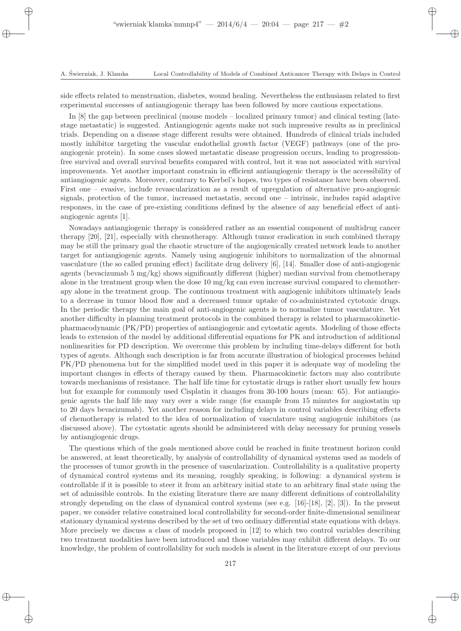side effects related to menstruation, diabetes, wound healing. Nevertheless the enthusiasm related to first experimental successes of antiangiogenic therapy has been followed by more cautious expectations.

In [8] the gap between preclinical (mouse models – localized primary tumor) and clinical testing (latestage metastatic) is suggested. Antiangiogenic agents make not such impressive results as in preclinical trials. Depending on a disease stage different results were obtained. Hundreds of clinical trials included mostly inhibitor targeting the vascular endothelial growth factor (VEGF) pathways (one of the proangiogenic protein). In some cases slowed metastatic disease progression occurs, leading to progressionfree survival and overall survival benefits compared with control, but it was not associated with survival improvements. Yet another important constrain in efficient antiangiogenic therapy is the accessibility of antiangiogenic agents. Moreover, contrary to Kerbel's hopes, two types of resistance have been observed. First one – evasive, include revascularization as a result of upregulation of alternative pro-angiogenic signals, protection of the tumor, increased metastatis, second one – intrinsic, includes rapid adaptive responses, in the case of pre-existing conditions defined by the absence of any beneficial effect of antiangiogenic agents [1].

Nowadays antiangiogenic therapy is considered rather as an essential component of multidrug cancer therapy [20], [21], especially with chemotherapy. Although tumor eradication in such combined therapy may be still the primary goal the chaotic structure of the angiogenically created network leads to another target for antiangiogenic agents. Namely using angiogenic inhibitors to normalization of the abnormal vasculature (the so called pruning effect) facilitate drug delivery [6], [14]. Smaller dose of anti-angiogenic agents (bevacizumab 5 mg/kg) shows significantly different (higher) median survival from chemotherapy alone in the treatment group when the dose 10 mg/kg can even increase survival compared to chemotherapy alone in the treatment group. The continuous treatment with angiogenic inhibitors ultimately leads to a decrease in tumor blood flow and a decreased tumor uptake of co-administrated cytotoxic drugs. In the periodic therapy the main goal of anti-angiogenic agents is to normalize tumor vasculature. Yet another difficulty in planning treatment protocols in the combined therapy is related to pharmacokineticpharmacodynamic (PK/PD) properties of antiangiogenic and cytostatic agents. Modeling of those effects leads to extension of the model by additional differential equations for PK and introduction of additional nonlinearities for PD description. We overcome this problem by including time-delays different for both types of agents. Although such description is far from accurate illustration of biological processes behind PK/PD phenomena but for the simplified model used in this paper it is adequate way of modeling the important changes in effects of therapy caused by them. Pharmacokinetic factors may also contribute towards mechanisms of resistance. The half life time for cytostatic drugs is rather short usually few hours but for example for commonly used Cisplatin it changes from 30-100 hours (mean: 65). For antiangiogenic agents the half life may vary over a wide range (for example from 15 minutes for angiostatin up to 20 days bevacizumab). Yet another reason for including delays in control variables describing effects of chemotherapy is related to the idea of normalization of vasculature using angiogenic inhibitors (as discussed above). The cytostatic agents should be administered with delay necessary for pruning vessels by antiangiogenic drugs.

The questions which of the goals mentioned above could be reached in finite treatment horizon could be answered, at least theoretically, by analysis of controllability of dynamical systems used as models of the processes of tumor growth in the presence of vascularization. Controllability is a qualitative property of dynamical control systems and its meaning, roughly speaking, is following: a dynamical system is controllable if it is possible to steer it from an arbitrary initial state to an arbitrary final state using the set of admissible controls. In the existing literature there are many different definitions of controllability strongly depending on the class of dynamical control systems (see e.g. [16]-[18], [2], [3]). In the present paper, we consider relative constrained local controllability for second-order finite-dimensional semilinear stationary dynamical systems described by the set of two ordinary differential state equations with delays. More precisely we discuss a class of models proposed in [12] to which two control variables describing two treatment modalities have been introduced and those variables may exhibit different delays. To our knowledge, the problem of controllability for such models is absent in the literature except of our previous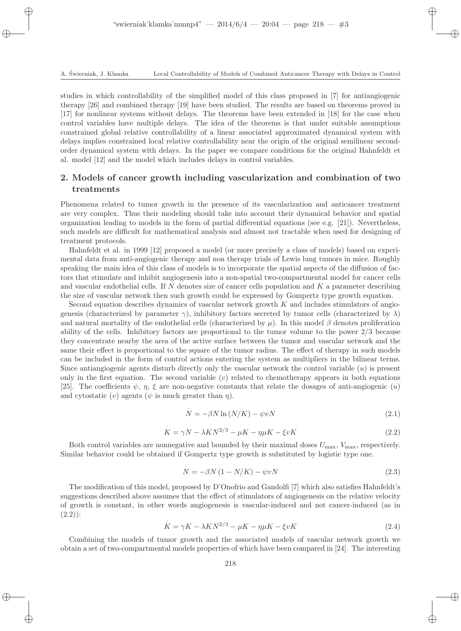studies in which controllability of the simplified model of this class proposed in [7] for antiangiogenic therapy [26] and combined therapy [19] have been studied. The results are based on theorems proved in [17] for nonlinear systems without delays. The theorems have been extended in [18] for the case when control variables have multiple delays. The idea of the theorems is that under suitable assumptions constrained global relative controllability of a linear associated approximated dynamical system with delays implies constrained local relative controllability near the origin of the original semilinear secondorder dynamical system with delays. In the paper we compare conditions for the original Hahnfeldt et al. model [12] and the model which includes delays in control variables.

# 2. Models of cancer growth including vascularization and combination of two treatments

Phenomena related to tumor growth in the presence of its vascularization and anticancer treatment are very complex. Thus their modeling should take into account their dynamical behavior and spatial organization leading to models in the form of partial differential equations (see e.g.  $[21]$ ). Nevertheless, such models are difficult for mathematical analysis and almost not tractable when used for designing of treatment protocols.

Hahnfeldt et al. in 1999 [12] proposed a model (or more precisely a class of models) based on experimental data from anti-angiogenic therapy and non therapy trials of Lewis lung tumors in mice. Roughly speaking the main idea of this class of models is to incorporate the spatial aspects of the diffusion of factors that stimulate and inhibit angiogenesis into a non-spatial two-compartmental model for cancer cells and vascular endothelial cells. If  $N$  denotes size of cancer cells population and  $K$  a parameter describing the size of vascular network then such growth could be expressed by Gompertz type growth equation.

Second equation describes dynamics of vascular network growth K and includes stimulators of angiogenesis (characterized by parameter  $\gamma$ ), inhibitory factors secreted by tumor cells (characterized by  $\lambda$ ) and natural mortality of the endothelial cells (characterized by  $\mu$ ). In this model  $\beta$  denotes proliferation ability of the cells. Inhibitory factors are proportional to the tumor volume to the power 2/3 because they concentrate nearby the area of the active surface between the tumor and vascular network and the same their effect is proportional to the square of the tumor radius. The effect of therapy in such models can be included in the form of control actions entering the system as multipliers in the bilinear terms. Since antiangiogenic agents disturb directly only the vascular network the control variable (u) is present only in the first equation. The second variable  $(v)$  related to chemotherapy appears in both equations [25]. The coefficients  $\psi, \eta, \xi$  are non-negative constants that relate the dosages of anti-angiogenic  $(u)$ and cytostatic  $(v)$  agents  $(\psi)$  is much greater than  $\eta$ ).

$$
N = -\beta N \ln \left( N/K \right) - \psi v N \tag{2.1}
$$

$$
\dot{K} = \gamma N - \lambda K N^{2/3} - \mu K - \eta \mu K - \xi v K \qquad (2.2)
$$

Both control variables are nonnegative and bounded by their maximal doses  $U_{\text{max}}$ ,  $V_{\text{max}}$ , respectively. Similar behavior could be obtained if Gompertz type growth is substituted by logistic type one.

·

$$
\dot{N} = -\beta N \left(1 - N/K\right) - \psi v N \tag{2.3}
$$

The modification of this model, proposed by D'Onofrio and Gandolfi [7] which also satisfies Hahnfeldt's suggestions described above assumes that the effect of stimulators of angiogenesis on the relative velocity of growth is constant, in other words angiogenesis is vascular-induced and not cancer-induced (as in  $(2.2)$ : ·

$$
K = \gamma K - \lambda K N^{2/3} - \mu K - \eta \mu K - \xi v K \tag{2.4}
$$

Combining the models of tumor growth and the associated models of vascular network growth we obtain a set of two-compartmental models properties of which have been compared in [24]. The interesting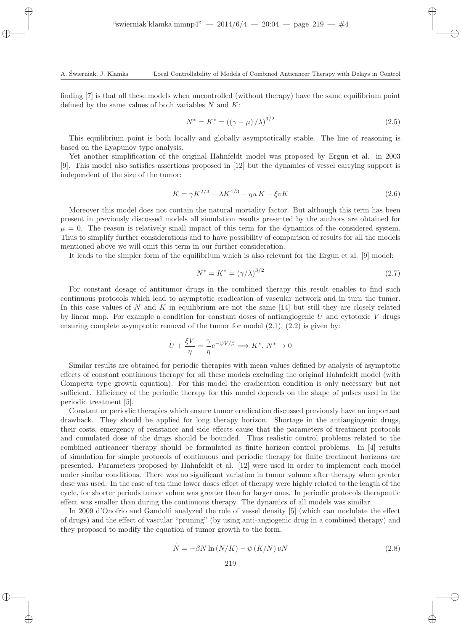finding [7] is that all these models when uncontrolled (without therapy) have the same equilibrium point defined by the same values of both variables  $N$  and  $K$ :

$$
N^* = K^* = ((\gamma - \mu) / \lambda)^{3/2}
$$
\n(2.5)

This equilibrium point is both locally and globally asymptotically stable. The line of reasoning is based on the Lyapunov type analysis.

Yet another simplification of the original Hahnfeldt model was proposed by Ergun et al. in 2003 [9]. This model also satisfies assertions proposed in [12] but the dynamics of vessel carrying support is independent of the size of the tumor:

$$
K = \gamma K^{2/3} - \lambda K^{4/3} - \eta u K - \xi v K
$$
\n(2.6)

Moreover this model does not contain the natural mortality factor. But although this term has been present in previously discussed models all simulation results presented by the authors are obtained for  $\mu = 0$ . The reason is relatively small impact of this term for the dynamics of the considered system. Thus to simplify further considerations and to have possibility of comparison of results for all the models mentioned above we will omit this term in our further consideration.

It leads to the simpler form of the equilibrium which is also relevant for the Ergun et al. [9] model:

$$
N^* = K^* = (\gamma/\lambda)^{3/2}
$$
 (2.7)

For constant dosage of antitumor drugs in the combined therapy this result enables to find such continuous protocols which lead to asymptotic eradication of vascular network and in turn the tumor. In this case values of N and K in equilibrium are not the same  $[14]$  but still they are closely related by linear map. For example a condition for constant doses of antiangiogenic  $U$  and cytotoxic  $V$  drugs ensuring complete asymptotic removal of the tumor for model  $(2.1)$ ,  $(2.2)$  is given by:

$$
U + \frac{\xi V}{\eta} = \frac{\gamma}{\eta} e^{-\psi V/\beta} \Longrightarrow K^*, N^* \to 0
$$

Similar results are obtained for periodic therapies with mean values defined by analysis of asymptotic effects of constant continuous therapy for all these models excluding the original Hahnfeldt model (with Gompertz–type growth equation). For this model the eradication condition is only necessary but not sufficient. Efficiency of the periodic therapy for this model depends on the shape of pulses used in the periodic treatment [5].

Constant or periodic therapies which ensure tumor eradication discussed previously have an important drawback. They should be applied for long therapy horizon. Shortage in the antiangiogenic drugs, their costs, emergency of resistance and side effects cause that the parameters of treatment protocols and cumulated dose of the drugs should be bounded. Thus realistic control problems related to the combined anticancer therapy should be formulated as finite horizon control problems. In [4] results of simulation for simple protocols of continuous and periodic therapy for finite treatment horizons are presented. Parameters proposed by Hahnfeldt et al. [12] were used in order to implement each model under similar conditions. There was no significant variation in tumor volume after therapy when greater dose was used. In the case of ten time lower doses effect of therapy were highly related to the length of the cycle, for shorter periods tumor volme was greater than for larger ones. In periodic protocols therapeutic effect was smaller than during the continuous therapy. The dynamics of all models was similar.

In 2009 d'Onofrio and Gandolfi analyzed the role of vessel density [5] (which can modulate the effect of drugs) and the effect of vascular "pruning" (by using anti-angiogenic drug in a combined therapy) and they proposed to modify the equation of tumor growth to the form.

$$
\dot{N} = -\beta N \ln \left( N/K \right) - \psi \left( K/N \right) vN \tag{2.8}
$$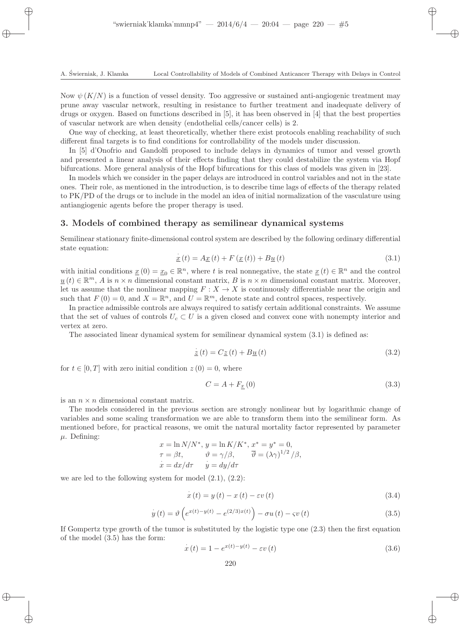Now  $\psi(K/N)$  is a function of vessel density. Too aggressive or sustained anti-angiogenic treatment may prune away vascular network, resulting in resistance to further treatment and inadequate delivery of drugs or oxygen. Based on functions described in [5], it has been observed in [4] that the best properties of vascular network are when density (endothelial cells/cancer cells) is 2.

One way of checking, at least theoretically, whether there exist protocols enabling reachability of such different final targets is to find conditions for controllability of the models under discussion.

In [5] d'Onofrio and Gandolfi proposed to include delays in dynamics of tumor and vessel growth and presented a linear analysis of their effects finding that they could destabilize the system via Hopf bifurcations. More general analysis of the Hopf bifurcations for this class of models was given in [23].

In models which we consider in the paper delays are introduced in control variables and not in the state ones. Their role, as mentioned in the introduction, is to describe time lags of effects of the therapy related to PK/PD of the drugs or to include in the model an idea of initial normalization of the vasculature using antiangiogenic agents before the proper therapy is used.

#### 3. Models of combined therapy as semilinear dynamical systems

Semilinear stationary finite-dimensional control system are described by the following ordinary differential state equation:

$$
\dot{\underline{x}}(t) = A \underline{x}(t) + F(\underline{x}(t)) + B \underline{u}(t)
$$
\n(3.1)

with initial conditions  $\underline{x}(0) = \underline{x}_0 \in \mathbb{R}^n$ , where t is real nonnegative, the state  $\underline{x}(t) \in \mathbb{R}^n$  and the control  $u(t) \in \mathbb{R}^m$ , A is  $n \times n$  dimensional constant matrix, B is  $n \times m$  dimensional constant matrix. Moreover, let us assume that the nonlinear mapping  $F: X \to X$  is continuously differentiable near the origin and such that  $F(0) = 0$ , and  $X = \mathbb{R}^n$ , and  $U = \mathbb{R}^m$ , denote state and control spaces, respectively.

In practice admissible controls are always required to satisfy certain additional constraints. We assume that the set of values of controls  $U_c \subset U$  is a given closed and convex cone with nonempty interior and vertex at zero.

The associated linear dynamical system for semilinear dynamical system (3.1) is defined as:

$$
\dot{\underline{z}}(t) = C\underline{z}(t) + B\underline{u}(t) \tag{3.2}
$$

for  $t \in [0, T]$  with zero initial condition  $z(0) = 0$ , where

$$
C = A + F_{\underline{x}}(0) \tag{3.3}
$$

is an  $n \times n$  dimensional constant matrix.

The models considered in the previous section are strongly nonlinear but by logarithmic change of variables and some scaling transformation we are able to transform them into the semilinear form. As mentioned before, for practical reasons, we omit the natural mortality factor represented by parameter  $\mu$ . Defining:

$$
x = \ln N/N^*, y = \ln K/K^*, x^* = y^* = 0,
$$
  
\n
$$
\tau = \beta t, \qquad \vartheta = \gamma/\beta, \qquad \overline{\vartheta} = (\lambda \gamma)^{1/2} / \beta,
$$
  
\n
$$
\dot{x} = dx/d\tau \qquad \dot{y} = dy/d\tau
$$

we are led to the following system for model  $(2.1)$ ,  $(2.2)$ :

$$
\dot{x}(t) = y(t) - x(t) - \varepsilon v(t) \tag{3.4}
$$

$$
\dot{y}(t) = \vartheta \left( e^{x(t) - y(t)} - e^{(2/3)x(t)} \right) - \sigma u(t) - \varsigma v(t)
$$
\n(3.5)

If Gompertz type growth of the tumor is substituted by the logistic type one (2.3) then the first equation of the model (3.5) has the form:

$$
\dot{x}(t) = 1 - e^{x(t) - y(t)} - \varepsilon v(t)
$$
\n(3.6)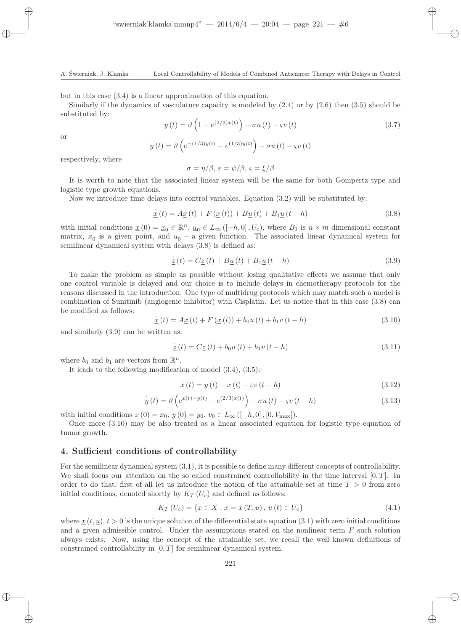but in this case (3.4) is a linear approximation of this equation.

Similarly if the dynamics of vasculature capacity is modeled by (2.4) or by (2.6) then (3.5) should be substituted by:

$$
\dot{y}(t) = \vartheta \left( 1 - e^{(2/3)x(t)} \right) - \sigma u(t) - \varsigma v(t) \tag{3.7}
$$

or

$$
\dot{y}(t) = \overline{\vartheta}\left(e^{-(1/3)y(t)} - e^{(1/3)y(t)}\right) - \sigma u(t) - \varsigma v(t)
$$

respectively, where

$$
\sigma = \eta/\beta, \, \varepsilon = \psi/\beta, \, \varsigma = \xi/\beta
$$

It is worth to note that the associated linear system will be the same for both Gompertz type and logistic type growth equations.

Now we introduce time delays into control variables. Equation (3.2) will be substituted by:

$$
\dot{\underline{x}}(t) = A \underline{x}(t) + F(\underline{x}(t)) + B \underline{u}(t) + B_1 \underline{u}(t - h)
$$
\n(3.8)

with initial conditions  $\underline{x}(0) = \underline{x}_0 \in \mathbb{R}^n$ ,  $\underline{u}_0 \in L_\infty([-h, 0], U_c)$ , where  $B_1$  is  $n \times m$  dimensional constant matrix,  $\underline{x}_0$  is a given point, and  $\underline{u}_0$  – a given function. The associated linear dynamical system for semilinear dynamical system with delays  $(3.8)$  is defined as:

$$
\dot{\underline{z}}(t) = C\underline{z}(t) + B\underline{u}(t) + B_1\underline{u}(t - h)
$$
\n(3.9)

To make the problem as simple as possible without losing qualitative effects we assume that only one control variable is delayed and our choice is to include delays in chemotherapy protocols for the reasons discussed in the introduction. One type of multidrug protocols which may match such a model is combination of Sunitinib (angiogenic inhibitor) with Cisplatin. Let us notice that in this case (3.8) can be modified as follows: ·

$$
\dot{\underline{x}}(t) = A \underline{x}(t) + F(\underline{x}(t)) + b_0 u(t) + b_1 v(t - h)
$$
\n(3.10)

and similarly (3.9) can be written as:

$$
\dot{\underline{z}}(t) = C \underline{z}(t) + b_0 u(t) + b_1 v(t - h)
$$
\n(3.11)

where  $b_0$  and  $b_1$  are vectors from  $\mathbb{R}^n$ .

It leads to the following modification of model (3.4), (3.5):

$$
\dot{x}(t) = y(t) - x(t) - \varepsilon v(t - h)
$$
\n(3.12)

$$
\dot{y}(t) = \vartheta \left( e^{x(t) - y(t)} - e^{(2/3)x(t)} \right) - \sigma u(t) - \varsigma v(t - h) \tag{3.13}
$$

with initial conditions  $x(0) = x_0, y(0) = y_0, v_0 \in L_\infty([-h, 0], [0, V_{\max}]).$ 

Once more (3.10) may be also treated as a linear associated equation for logistic type equation of tumor growth.

#### 4. Sufficient conditions of controllability

For the semilinear dynamical system (3.1), it is possible to define many different concepts of controllability. We shall focus our attention on the so called constrained controllability in the time interval  $[0, T]$ . In order to do that, first of all let us introduce the notion of the attainable set at time  $T > 0$  from zero initial conditions, denoted shortly by  $K_T(U_c)$  and defined as follows:

$$
K_T(U_c) = \{ \underline{x} \in X : \underline{x} = \underline{x}(T, \underline{u}), \underline{u}(t) \in U_c \}
$$
\n
$$
(4.1)
$$

where  $x(t, u), t > 0$  is the unique solution of the differential state equation (3.1) with zero initial conditions and a given admissible control. Under the assumptions stated on the nonlinear term  $F$  such solution always exists. Now, using the concept of the attainable set, we recall the well known definitions of constrained controllability in  $[0, T]$  for semilinear dynamical system.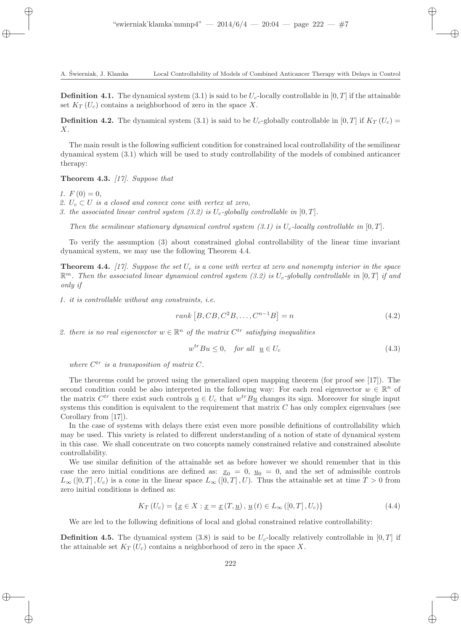**Definition 4.1.** The dynamical system (3.1) is said to be  $U_c$ -locally controllable in [0, T] if the attainable set  $K_T(U_c)$  contains a neighborhood of zero in the space X.

**Definition 4.2.** The dynamical system (3.1) is said to be  $U_c$ -globally controllable in [0, T] if  $K_T(U_c)$  = X.

The main result is the following sufficient condition for constrained local controllability of the semilinear dynamical system (3.1) which will be used to study controllability of the models of combined anticancer therapy:

Theorem 4.3. *[17]. Suppose that*

1.  $F(0) = 0$ ,

- 2.  $U_c \subset U$  *is a closed and convex cone with vertex at zero,*
- *3. the associated linear control system (3.2) is*  $U_c$ -globally controllable in [0, T].

*Then the semilinear stationary dynamical control system (3.1) is*  $U_c$ -locally controllable in [0, T].

To verify the assumption (3) about constrained global controllability of the linear time invariant dynamical system, we may use the following Theorem 4.4.

**Theorem 4.4.**  $[17]$ . Suppose the set  $U_c$  is a cone with vertex at zero and nonempty interior in the space  $\mathbb{R}^m$ . Then the associated linear dynamical control system (3.2) is  $U_c$ -globally controllable in  $[0, T]$  if and *only if*

*1. it is controllable without any constraints, i.e.*

$$
rank [B, CB, C2B, ..., Cn-1B] = n
$$
\n(4.2)

2. there is no real eigenvector  $w \in \mathbb{R}^n$  of the matrix  $C^{tr}$  satisfying inequalities

$$
w^{tr}Bu \le 0, \quad \text{for all} \quad \underline{u} \in U_c \tag{4.3}
$$

where  $C^{tr}$  is a transposition of matrix  $C$ .

The theorems could be proved using the generalized open mapping theorem (for proof see [17]). The second condition could be also interpreted in the following way: For each real eigenvector  $w \in \mathbb{R}^n$  of the matrix  $C^{tr}$  there exist such controls  $\underline{u} \in U_c$  that  $w^{tr}B\underline{u}$  changes its sign. Moreover for single input systems this condition is equivalent to the requirement that matrix  $C$  has only complex eigenvalues (see Corollary from [17]).

In the case of systems with delays there exist even more possible definitions of controllability which may be used. This variety is related to different understanding of a notion of state of dynamical system in this case. We shall concentrate on two concepts namely constrained relative and constrained absolute controllability.

We use similar definition of the attainable set as before however we should remember that in this case the zero initial conditions are defined as:  $x_0 = 0$ ,  $u_0 = 0$ , and the set of admissible controls  $L_{\infty}([0,T], U_c)$  is a cone in the linear space  $L_{\infty}([0,T], U)$ . Thus the attainable set at time  $T > 0$  from zero initial conditions is defined as:

$$
K_T(U_c) = \{ \underline{x} \in X : \underline{x} = \underline{x} (T, \underline{u}), \, \underline{u} (t) \in L_\infty ([0, T], U_c) \}
$$
\n
$$
(4.4)
$$

We are led to the following definitions of local and global constrained relative controllability:

**Definition 4.5.** The dynamical system (3.8) is said to be  $U_c$ -locally relatively controllable in  $[0, T]$  if the attainable set  $K_T(U_c)$  contains a neighborhood of zero in the space X.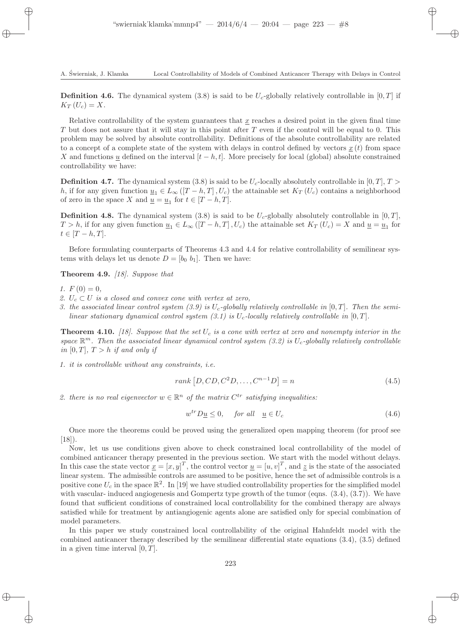**Definition 4.6.** The dynamical system (3.8) is said to be  $U_c$ -globally relatively controllable in [0, T] if  $K_T(U_c) = X.$ 

Relative controllability of the system guarantees that  $\underline{x}$  reaches a desired point in the given final time T but does not assure that it will stay in this point after  $T$  even if the control will be equal to 0. This problem may be solved by absolute controllability. Definitions of the absolute controllability are related to a concept of a complete state of the system with delays in control defined by vectors  $x(t)$  from space X and functions u defined on the interval  $[t-h, t]$ . More precisely for local (global) absolute constrained controllability we have:

**Definition 4.7.** The dynamical system (3.8) is said to be  $U_c$ -locally absolutely controllable in [0, T],  $T >$ h, if for any given function  $\underline{u}_1 \in L_\infty([T-h,T],U_c)$  the attainable set  $K_T(U_c)$  contains a neighborhood of zero in the space X and  $\underline{u} = \underline{u}_1$  for  $t \in [T - h, T]$ .

**Definition 4.8.** The dynamical system (3.8) is said to be  $U_c$ -globally absolutely controllable in [0, T],  $T > h$ , if for any given function  $\underline{u}_1 \in L_\infty([T-h,T],U_c)$  the attainable set  $K_T(U_c) = X$  and  $\underline{u} = \underline{u}_1$  for  $t \in [T-h,T].$ 

Before formulating counterparts of Theorems 4.3 and 4.4 for relative controllability of semilinear systems with delays let us denote  $D = [b_0 \; b_1]$ . Then we have:

Theorem 4.9. *[18]. Suppose that*

- *1.*  $F(0) = 0$ ,
- 2.  $U_c \subset U$  *is a closed and convex cone with vertex at zero,*
- 3. the associated linear control system  $(3.9)$  is  $U_c$ -globally relatively controllable in  $[0, T]$ . Then the semi*linear stationary dynamical control system (3.1) is*  $U_c$ -locally relatively controllable in [0, T].

**Theorem 4.10.** [18]. Suppose that the set  $U_c$  is a cone with vertex at zero and nonempty interior in the *space* R <sup>m</sup>*. Then the associated linear dynamical control system (3.2) is* Uc*-globally relatively controllable in* [0, T],  $T > h$  *if and only if* 

*1. it is controllable without any constraints, i.e.*

$$
rank [D, CD, C2D, ..., Cn-1D] = n
$$
\n(4.5)

2. there is no real eigenvector  $w \in \mathbb{R}^n$  of the matrix  $C^{tr}$  satisfying inequalities:

$$
w^{tr}D\underline{u} \le 0, \quad \text{for all} \quad \underline{u} \in U_c \tag{4.6}
$$

Once more the theorems could be proved using the generalized open mapping theorem (for proof see  $[18]$ .

Now, let us use conditions given above to check constrained local controllability of the model of combined anticancer therapy presented in the previous section. We start with the model without delays. In this case the state vector  $\underline{x} = [x, y]^T$ , the control vector  $\underline{u} = [u, v]^T$ , and  $\underline{z}$  is the state of the associated linear system. The admissible controls are assumed to be positive, hence the set of admissible controls is a positive cone  $U_c$  in the space  $\mathbb{R}^2$ . In [19] we have studied controllability properties for the simplified model with vascular- induced angiogenesis and Gompertz type growth of the tumor (eqns.  $(3.4), (3.7)$ ). We have found that sufficient conditions of constrained local controllability for the combined therapy are always satisfied while for treatment by antiangiogenic agents alone are satisfied only for special combination of model parameters.

In this paper we study constrained local controllability of the original Hahnfeldt model with the combined anticancer therapy described by the semilinear differential state equations (3.4), (3.5) defined in a given time interval  $[0, T]$ .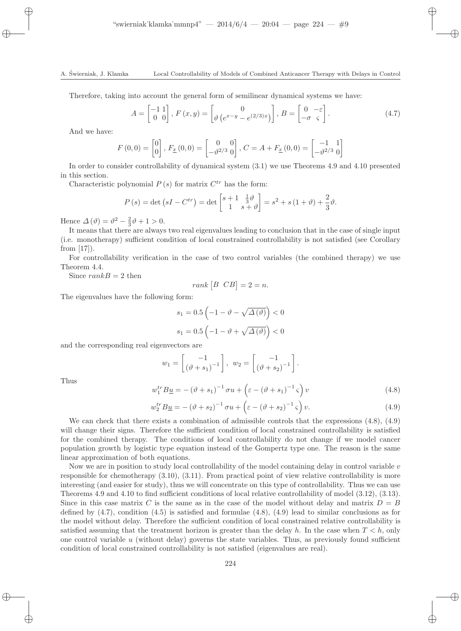Therefore, taking into account the general form of semilinear dynamical systems we have:

$$
A = \begin{bmatrix} -1 & 1 \\ 0 & 0 \end{bmatrix}, F(x, y) = \begin{bmatrix} 0 \\ \vartheta \left( e^{x-y} - e^{(2/3)x} \right) \end{bmatrix}, B = \begin{bmatrix} 0 & -\varepsilon \\ -\sigma & \varsigma \end{bmatrix}.
$$
 (4.7)

And we have:

$$
F(0,0) = \begin{bmatrix} 0 \\ 0 \end{bmatrix}, F_{\underline{x}}(0,0) = \begin{bmatrix} 0 & 0 \\ -\vartheta^{2/3} & 0 \end{bmatrix}, C = A + F_{\underline{x}}(0,0) = \begin{bmatrix} -1 & 1 \\ -\vartheta^{2/3} & 0 \end{bmatrix}
$$

In order to consider controllability of dynamical system (3.1) we use Theorems 4.9 and 4.10 presented in this section.

Characteristic polynomial  $P(s)$  for matrix  $C^{tr}$  has the form:

$$
P(s) = \det\left(sI - C^{tr}\right) = \det\begin{bmatrix} s+1 & \frac{1}{3}\vartheta\\ 1 & s+\vartheta \end{bmatrix} = s^2 + s\left(1+\vartheta\right) + \frac{2}{3}\vartheta.
$$

Hence  $\Delta(\vartheta) = \vartheta^2 - \frac{2}{3}\vartheta + 1 > 0.$ 

It means that there are always two real eigenvalues leading to conclusion that in the case of single input (i.e. monotherapy) sufficient condition of local constrained controllability is not satisfied (see Corollary from [17]).

For controllability verification in the case of two control variables (the combined therapy) we use Theorem 4.4.

Since  $rankB = 2$  then

$$
rank [B \ CB] = 2 = n.
$$

The eigenvalues have the following form:

$$
s_1 = 0.5 \left( -1 - \vartheta - \sqrt{\Delta(\vartheta)} \right) < 0
$$
\n
$$
s_1 = 0.5 \left( -1 - \vartheta + \sqrt{\Delta(\vartheta)} \right) < 0
$$

and the corresponding real eigenvectors are

$$
w_1 = \begin{bmatrix} -1 \\ (\vartheta + s_1)^{-1} \end{bmatrix}, w_2 = \begin{bmatrix} -1 \\ (\vartheta + s_2)^{-1} \end{bmatrix}.
$$

Thus

$$
w_1^{tr} B \underline{u} = -(\vartheta + s_1)^{-1} \sigma u + \left(\varepsilon - (\vartheta + s_1)^{-1} \varsigma\right) v \tag{4.8}
$$

$$
w_2^{tr} B \underline{u} = -(\vartheta + s_2)^{-1} \sigma u + \left(\varepsilon - (\vartheta + s_2)^{-1} \varsigma\right) v.
$$
 (4.9)

We can check that there exists a combination of admissible controls that the expressions  $(4.8)$ ,  $(4.9)$ will change their signs. Therefore the sufficient condition of local constrained controllability is satisfied for the combined therapy. The conditions of local controllability do not change if we model cancer population growth by logistic type equation instead of the Gompertz type one. The reason is the same linear approximation of both equations.

Now we are in position to study local controllability of the model containing delay in control variable  $v$ responsible for chemotherapy (3.10), (3.11). From practical point of view relative controllability is more interesting (and easier for study), thus we will concentrate on this type of controllability. Thus we can use Theorems 4.9 and 4.10 to find sufficient conditions of local relative controllability of model (3.12), (3.13). Since in this case matrix C is the same as in the case of the model without delay and matrix  $D = B$ defined by  $(4.7)$ , condition  $(4.5)$  is satisfied and formulae  $(4.8)$ ,  $(4.9)$  lead to similar conclusions as for the model without delay. Therefore the sufficient condition of local constrained relative controllability is satisfied assuming that the treatment horizon is greater than the delay h. In the case when  $T < h$ , only one control variable  $u$  (without delay) governs the state variables. Thus, as previously found sufficient condition of local constrained controllability is not satisfied (eigenvalues are real).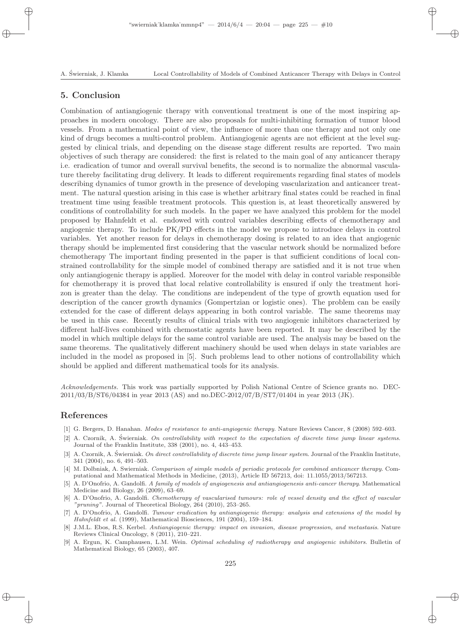### 5. Conclusion

Combination of antiangiogenic therapy with conventional treatment is one of the most inspiring approaches in modern oncology. There are also proposals for multi-inhibiting formation of tumor blood vessels. From a mathematical point of view, the influence of more than one therapy and not only one kind of drugs becomes a multi-control problem. Antiangiogenic agents are not efficient at the level suggested by clinical trials, and depending on the disease stage different results are reported. Two main objectives of such therapy are considered: the first is related to the main goal of any anticancer therapy i.e. eradication of tumor and overall survival benefits, the second is to normalize the abnormal vasculature thereby facilitating drug delivery. It leads to different requirements regarding final states of models describing dynamics of tumor growth in the presence of developing vascularization and anticancer treatment. The natural question arising in this case is whether arbitrary final states could be reached in final treatment time using feasible treatment protocols. This question is, at least theoretically answered by conditions of controllability for such models. In the paper we have analyzed this problem for the model proposed by Hahnfeldt et al. endowed with control variables describing effects of chemotherapy and angiogenic therapy. To include PK/PD effects in the model we propose to introduce delays in control variables. Yet another reason for delays in chemotherapy dosing is related to an idea that angiogenic therapy should be implemented first considering that the vascular network should be normalized before chemotherapy The important finding presented in the paper is that sufficient conditions of local constrained controllability for the simple model of combined therapy are satisfied and it is not true when only antiangiogenic therapy is applied. Moreover for the model with delay in control variable responsible for chemotherapy it is proved that local relative controllability is ensured if only the treatment horizon is greater than the delay. The conditions are independent of the type of growth equation used for description of the cancer growth dynamics (Gompertzian or logistic ones). The problem can be easily extended for the case of different delays appearing in both control variable. The same theorems may be used in this case. Recently results of clinical trials with two angiogenic inhibitors characterized by different half-lives combined with chemostatic agents have been reported. It may be described by the model in which multiple delays for the same control variable are used. The analysis may be based on the same theorems. The qualitatively different machinery should be used when delays in state variables are included in the model as proposed in [5]. Such problems lead to other notions of controllability which should be applied and different mathematical tools for its analysis.

Acknowledgements. This work was partially supported by Polish National Centre of Science grants no. DEC-2011/03/B/ST6/04384 in year 2013 (AS) and no.DEC-2012/07/B/ST7/01404 in year 2013 (JK).

## References

- [1] G. Bergers, D. Hanahan. Modes of resistance to anti-angiogenic therapy. Nature Reviews Cancer, 8 (2008) 592–603.
- $[2]$  A. Czornik, A. Świerniak. On controllability with respect to the expectation of discrete time jump linear systems. Journal of the Franklin Institute, 338 (2001), no. 4, 443–453.
- [3] A. Czornik, A. Świerniak. On direct controllability of discrete time jump linear system. Journal of the Franklin Institute, 341 (2004), no. 6, 491–503.
- [4] M. Dolbniak, A. Swierniak. Comparison of simple models of periodic protocols for combined anticancer therapy. Computational and Mathematical Methods in Medicine, (2013), Article ID 567213, doi: 11.1055/2013/567213.
- [5] A. D'Onofrio, A. Gandolfi. A family of models of angiogenesis and antiangiogenesis anti-cancer therapy. Mathematical Medicine and Biology, 26 (2009), 63–69.
- [6] A. D'Onofrio, A. Gandolfi. Chemotherapy of vascularised tumours: role of vessel density and the effect of vascular "pruning". Journal of Theoretical Biology, 264 (2010), 253–265.
- [7] A. D'Onofrio, A. Gandolfi. Tumour eradication by antiangiogenic therapy: analysis and extensions of the model by Hahnfeldt et al. (1999), Mathematical Biosciences, 191 (2004), 159–184.
- [8] J.M.L. Ebos, R.S. Kerbel. Antiangiogenic therapy: impact on invasion, disease progression, and metastasis. Nature Reviews Clinical Oncology, 8 (2011), 210–221.
- [9] A. Ergun, K. Camphausen, L.M. Wein. Optimal scheduling of radiotherapy and angiogenic inhibitors. Bulletin of Mathematical Biology, 65 (2003), 407.